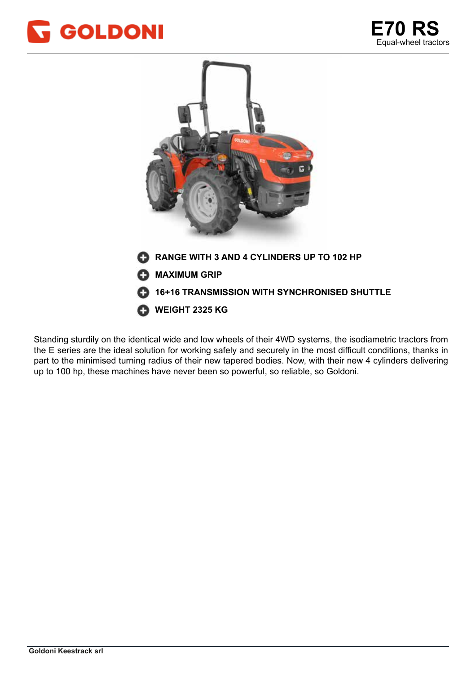





Standing sturdily on the identical wide and low wheels of their 4WD systems, the isodiametric tractors from the E series are the ideal solution for working safely and securely in the most difficult conditions, thanks in part to the minimised turning radius of their new tapered bodies. Now, with their new 4 cylinders delivering up to 100 hp, these machines have never been so powerful, so reliable, so Goldoni.